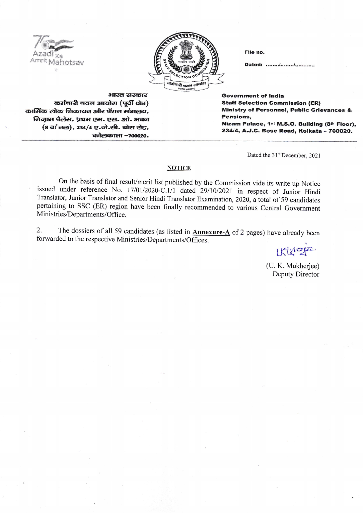

File no.

Dated: ......../......../.............

भारत सरकार कर्मचारी चयन आयोग (पूर्वी क्षेत्र) कार्मिक लोक शिकायत और पेंशन मंत्रालय. निज़ाम पैलेस, प्रथम एम. एस. ओ. भवन (8 वां तल), 234/4 ए.जे.सी. बोस रोड, कोलकाता -700020.

**Government of India Staff Selection Commission (ER) Ministry of Personnel, Public Grievances & Pensions.** Nizam Palace, 1st M.S.O. Building (8th Floor), 234/4, A.J.C. Bose Road, Kolkata - 700020.

Dated the 31st December, 2021

## **NOTICE**

On the basis of final result/merit list published by the Commission vide its write up Notice issued under reference No. 17/01/2020-C.1/1 dated 29/10/2021 in respect of Junior Hindi Translator, Junior Translator and Senior Hindi Translator Examination, 2020, a total of 59 candidates pertaining to SSC (ER) region have been finally recommended to various Central Government Ministries/Departments/Office.

The dossiers of all 59 candidates (as listed in **Annexure-A** of 2 pages) have already been 2. forwarded to the respective Ministries/Departments/Offices.

IKKNope

(U. K. Mukherjee) Deputy Director

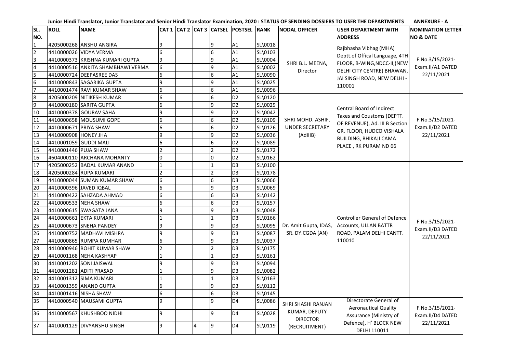| SL.              | <b>ROLL</b>            | <b>NAME</b>                       |                 |   |                 | CAT 1   CAT 2   CAT 3   CATSEL   POSTSEL   RANK |         | <b>NODAL OFFICER</b>                                                    | <b>USER DEPARTMENT WITH</b>                                                                                                                                                     | <b>NOMINATION LETTER</b>                          |
|------------------|------------------------|-----------------------------------|-----------------|---|-----------------|-------------------------------------------------|---------|-------------------------------------------------------------------------|---------------------------------------------------------------------------------------------------------------------------------------------------------------------------------|---------------------------------------------------|
| NO.              |                        |                                   |                 |   |                 |                                                 |         |                                                                         | <b>ADDRESS</b>                                                                                                                                                                  | <b>NO &amp; DATE</b>                              |
| $\mathbf{1}$     |                        | 4205000268 ANSHU ANGIRA           | 9               |   | l q             | A1                                              | SL\0018 | SHRI B.L. MEENA,<br>Director                                            | Rajbhasha Vibhag (MHA)<br>Deptt.of Offical Language, 4TH<br>FLOOR, B-WING, NDCC-II, (NEW<br>DELHI CITY CENTRE) BHAWAN,<br>JAI SINGH ROAD, NEW DELHI -<br>110001                 |                                                   |
| $\overline{2}$   |                        | 4410000026 VIDYA VERMA            | 6               |   | 6               | A1                                              | SL\0103 |                                                                         |                                                                                                                                                                                 | F.No.3/15/2021-<br>Exam.II/A1 DATED<br>22/11/2021 |
| 3                |                        | 4410000373 KRISHNA KUMARI GUPTA   | 9               |   | $\mathbf{q}$    | A1                                              | SL\0004 |                                                                         |                                                                                                                                                                                 |                                                   |
| $\overline{4}$   |                        | 4410000516 ANKITA SHAMBHAWI VERMA | $6\overline{6}$ |   | l q             | A1                                              | SL\0002 |                                                                         |                                                                                                                                                                                 |                                                   |
| 5                |                        | 4410000724 DEEPASREE DAS          | 6               |   | 6               | A1                                              | SL\0090 |                                                                         |                                                                                                                                                                                 |                                                   |
| $\boldsymbol{6}$ |                        | 4410000843 SAGARIKA GUPTA         | 9               |   | <b>g</b>        | A1                                              | SL\0025 |                                                                         |                                                                                                                                                                                 |                                                   |
| $\overline{7}$   |                        | 4410001474 RAVI KUMAR SHAW        | 6               |   | 6               | A1                                              | SL\0096 |                                                                         |                                                                                                                                                                                 |                                                   |
| $\bf 8$          |                        | 4205000209 NITIKESH KUMAR         | 6               |   | 6               | D <sub>2</sub>                                  | SL\0120 |                                                                         |                                                                                                                                                                                 |                                                   |
| 9                |                        | 4410000180 SARITA GUPTA           | $6\overline{6}$ |   | $\mathbf{q}$    | D <sub>2</sub>                                  | SL\0029 |                                                                         | Central Board of Indirect<br>Taxes and Coustoms (DEPTT.<br>OF REVENUE), Ad. III B Section<br>GR. FLOOR, HUDCO VISHALA<br><b>BUILDING, BHIKAJI CAMA</b><br>PLACE, RK PURAM ND 66 | F.No.3/15/2021-<br>Exam.II/D2 DATED<br>22/11/2021 |
| 10               |                        | 4410000378 GOURAV SAHA            | 9               |   | 9               | D <sub>2</sub>                                  | SL\0042 |                                                                         |                                                                                                                                                                                 |                                                   |
| 11               |                        | 4410000658 MOUSUMI GOPE           | 6               |   | 6               | D <sub>2</sub>                                  | SL\0109 | SHRI MOHD. ASHIF,                                                       |                                                                                                                                                                                 |                                                   |
| 12               | 4410000671 PRIYA SHAW  |                                   | 6               |   | 6               | D <sub>2</sub>                                  | SL\0126 | <b>UNDER SECRETARY</b>                                                  |                                                                                                                                                                                 |                                                   |
| 13               | 4410000908 HONEY JHA   |                                   | 9               |   | <b>g</b>        | D <sub>2</sub>                                  | SL\0036 | (AdIIIB)                                                                |                                                                                                                                                                                 |                                                   |
| 14               | 4410001059 GUDDI MALI  |                                   | $6\overline{6}$ |   | 6               | D <sub>2</sub>                                  | SL\0089 |                                                                         |                                                                                                                                                                                 |                                                   |
| 15               | 4410001446 PUJA SHAW   |                                   | $\overline{2}$  |   |                 | D <sub>2</sub>                                  | SL\0172 |                                                                         |                                                                                                                                                                                 |                                                   |
| 16               |                        | 4604000110 ARCHANA MOHANTY        | $\overline{0}$  |   | I0              | D <sub>2</sub>                                  | SL\0162 |                                                                         |                                                                                                                                                                                 |                                                   |
| 17               |                        | 4205000252 BADAL KUMAR ANAND      | 1               |   |                 | D <sub>3</sub>                                  | SL\0100 |                                                                         | <b>Controller General of Defence</b><br>Accounts, ULLAN BATTR<br>ROAD, PALAM DELHI CANTT.<br>110010                                                                             | F.No.3/15/2021-<br>Exam.II/D3 DATED<br>22/11/2021 |
| 18               |                        | 4205000284 RUPA KUMARI            | $\overline{2}$  |   |                 | D <sub>3</sub>                                  | SL\0178 |                                                                         |                                                                                                                                                                                 |                                                   |
| 19               |                        | 4410000044 SUMAN KUMAR SHAW       | $6\phantom{.}6$ |   | $6\overline{6}$ | D <sub>3</sub>                                  | SL\0066 |                                                                         |                                                                                                                                                                                 |                                                   |
| 20               | 4410000396 JAVED IQBAL |                                   | $6\overline{6}$ |   | q               | D <sub>3</sub>                                  | SL\0069 |                                                                         |                                                                                                                                                                                 |                                                   |
| 21               |                        | 4410000422 SAHZADA AHMAD          | 6               |   | 6               | D <sub>3</sub>                                  | SL\0142 |                                                                         |                                                                                                                                                                                 |                                                   |
| 22               | 4410000533 NEHA SHAW   |                                   | $6\overline{6}$ |   | 6               | D <sub>3</sub>                                  | SL\0157 |                                                                         |                                                                                                                                                                                 |                                                   |
| 23               |                        | 4410000615 SWAGATA JANA           | 9               |   |                 | D <sub>3</sub>                                  | SL\0048 |                                                                         |                                                                                                                                                                                 |                                                   |
| 24               |                        | 4410000661 EKTA KUMARI            | $\mathbf{1}$    |   |                 | D <sub>3</sub>                                  | SL\0166 | Dr. Amit Gupta, IDAS,<br>SR. DY.CGDA (AN)                               |                                                                                                                                                                                 |                                                   |
| 25               |                        | 4410000673 SNEHA PANDEY           | 9               |   | q               | D <sub>3</sub>                                  | SL\0095 |                                                                         |                                                                                                                                                                                 |                                                   |
| 26               |                        | 4410000752 MADHAVI MISHRA         | 9               |   | q               | D <sub>3</sub>                                  | SL\0087 |                                                                         |                                                                                                                                                                                 |                                                   |
| 27               |                        | 4410000865 RUMPA KUMHAR           | 6               |   | $\mathbf{q}$    | D <sub>3</sub>                                  | SL\0037 |                                                                         |                                                                                                                                                                                 |                                                   |
| 28               |                        | 4410000946 ROHIT KUMAR SHAW       | $\overline{2}$  |   |                 | D <sub>3</sub>                                  | SL\0175 |                                                                         |                                                                                                                                                                                 |                                                   |
| 29               |                        | 4410001168 NEHA KASHYAP           | 1               |   |                 | D <sub>3</sub>                                  | SL\0161 |                                                                         |                                                                                                                                                                                 |                                                   |
| 30               |                        | 4410001202 SONI JAISWAL           | 9               |   | Q               | D <sub>3</sub>                                  | SL\0094 |                                                                         |                                                                                                                                                                                 |                                                   |
| 31               |                        | 4410001281 ADITI PRASAD           | $\mathbf{1}$    |   | q               | D <sub>3</sub>                                  | SL\0082 |                                                                         |                                                                                                                                                                                 |                                                   |
| 32               |                        | 4410001312 SIMA KUMARI            | $\mathbf{1}$    |   |                 | D <sub>3</sub>                                  | SL\0163 |                                                                         |                                                                                                                                                                                 |                                                   |
| 33               |                        | 4410001359 ANAND GUPTA            | $6\phantom{.}6$ |   | l q             | D <sub>3</sub>                                  | SL\0112 |                                                                         |                                                                                                                                                                                 |                                                   |
| 34               |                        | 4410001416 NISHA SHAW             | 6               |   | 6               | D <sub>3</sub>                                  | SL\0145 |                                                                         |                                                                                                                                                                                 |                                                   |
| 35               |                        | 4410000540 MAUSAMI GUPTA          | 9               |   | <b>q</b>        | D <sub>4</sub>                                  | SL\0086 | SHRI SHASHI RANJAN<br>KUMAR, DEPUTY<br><b>DIRECTOR</b><br>(RECRUITMENT) | Directorate General of<br><b>Aeronautical Quality</b>                                                                                                                           | F.No.3/15/2021-<br>Exam.II/D4 DATED<br>22/11/2021 |
| 36               |                        | 4410000567 KHUSHBOO NIDHI         | 9               |   | l q             | D <sub>4</sub>                                  | SL\0028 |                                                                         | Assurance (Ministry of                                                                                                                                                          |                                                   |
| 37               |                        | 4410001129 DIVYANSHU SINGH        | 9               | 4 | l q             | D <sub>4</sub>                                  | SL\0119 |                                                                         | Defence), H' BLOCK NEW<br>DELHI 110011                                                                                                                                          |                                                   |